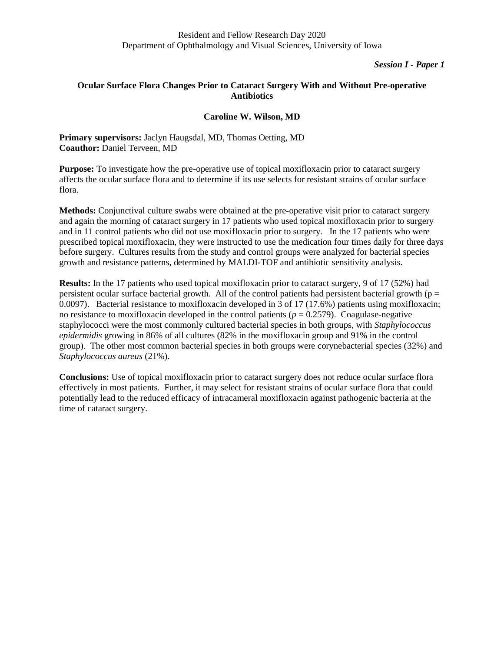### *Session I - Paper 1*

# **Ocular Surface Flora Changes Prior to Cataract Surgery With and Without Pre-operative Antibiotics**

## **Caroline W. Wilson, MD**

**Primary supervisors:** Jaclyn Haugsdal, MD, Thomas Oetting, MD **Coauthor:** Daniel Terveen, MD

**Purpose:** To investigate how the pre-operative use of topical moxifloxacin prior to cataract surgery affects the ocular surface flora and to determine if its use selects for resistant strains of ocular surface flora.

**Methods:** Conjunctival culture swabs were obtained at the pre-operative visit prior to cataract surgery and again the morning of cataract surgery in 17 patients who used topical moxifloxacin prior to surgery and in 11 control patients who did not use moxifloxacin prior to surgery. In the 17 patients who were prescribed topical moxifloxacin, they were instructed to use the medication four times daily for three days before surgery. Cultures results from the study and control groups were analyzed for bacterial species growth and resistance patterns, determined by MALDI-TOF and antibiotic sensitivity analysis.

**Results:** In the 17 patients who used topical moxifloxacin prior to cataract surgery, 9 of 17 (52%) had persistent ocular surface bacterial growth. All of the control patients had persistent bacterial growth ( $p =$ 0.0097). Bacterial resistance to moxifloxacin developed in 3 of 17 (17.6%) patients using moxifloxacin; no resistance to moxifloxacin developed in the control patients ( $p = 0.2579$ ). Coagulase-negative staphylococci were the most commonly cultured bacterial species in both groups, with *Staphylococcus epidermidis* growing in 86% of all cultures (82% in the moxifloxacin group and 91% in the control group). The other most common bacterial species in both groups were corynebacterial species (32%) and *Staphylococcus aureus* (21%).

**Conclusions:** Use of topical moxifloxacin prior to cataract surgery does not reduce ocular surface flora effectively in most patients. Further, it may select for resistant strains of ocular surface flora that could potentially lead to the reduced efficacy of intracameral moxifloxacin against pathogenic bacteria at the time of cataract surgery.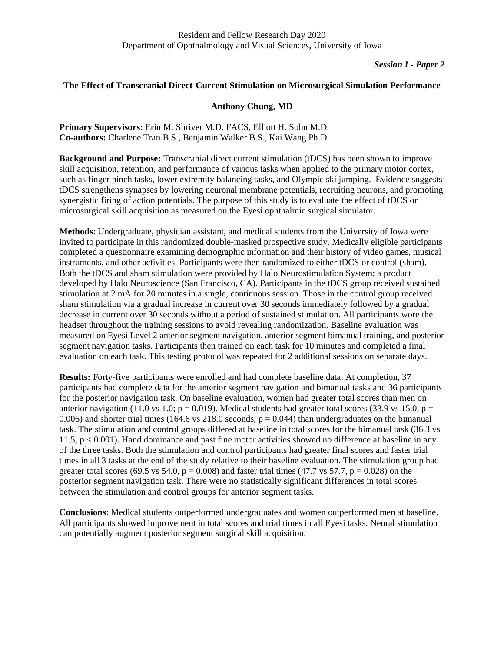## **The Effect of Transcranial Direct-Current Stimulation on Microsurgical Simulation Performance**

## **Anthony Chung, MD**

**Primary Supervisors:** Erin M. Shriver M.D. FACS, Elliott H. Sohn M.D. **Co-authors:** Charlene Tran B.S., Benjamin Walker B.S., Kai Wang Ph.D.

**Background and Purpose:** Transcranial direct current stimulation (tDCS) has been shown to improve skill acquisition, retention, and performance of various tasks when applied to the primary motor cortex, such as finger pinch tasks, lower extremity balancing tasks, and Olympic ski jumping. Evidence suggests tDCS strengthens synapses by lowering neuronal membrane potentials, recruiting neurons, and promoting synergistic firing of action potentials. The purpose of this study is to evaluate the effect of tDCS on microsurgical skill acquisition as measured on the Eyesi ophthalmic surgical simulator.

**Methods**: Undergraduate, physician assistant, and medical students from the University of Iowa were invited to participate in this randomized double-masked prospective study. Medically eligible participants completed a questionnaire examining demographic information and their history of video games, musical instruments, and other activities. Participants were then randomized to either tDCS or control (sham). Both the tDCS and sham stimulation were provided by Halo Neurostimulation System; a product developed by Halo Neuroscience (San Francisco, CA). Participants in the tDCS group received sustained stimulation at 2 mA for 20 minutes in a single, continuous session. Those in the control group received sham stimulation via a gradual increase in current over 30 seconds immediately followed by a gradual decrease in current over 30 seconds without a period of sustained stimulation. All participants wore the headset throughout the training sessions to avoid revealing randomization. Baseline evaluation was measured on Eyesi Level 2 anterior segment navigation, anterior segment bimanual training, and posterior segment navigation tasks. Participants then trained on each task for 10 minutes and completed a final evaluation on each task. This testing protocol was repeated for 2 additional sessions on separate days.

**Results:** Forty-five participants were enrolled and had complete baseline data. At completion, 37 participants had complete data for the anterior segment navigation and bimanual tasks and 36 participants for the posterior navigation task. On baseline evaluation, women had greater total scores than men on anterior navigation (11.0 vs 1.0;  $p = 0.019$ ). Medical students had greater total scores (33.9 vs 15.0,  $p =$ 0.006) and shorter trial times (164.6 vs 218.0 seconds,  $p = 0.044$ ) than undergraduates on the bimanual task. The stimulation and control groups differed at baseline in total scores for the bimanual task (36.3 vs 11.5, p < 0.001). Hand dominance and past fine motor activities showed no difference at baseline in any of the three tasks. Both the stimulation and control participants had greater final scores and faster trial times in all 3 tasks at the end of the study relative to their baseline evaluation. The stimulation group had greater total scores (69.5 vs 54.0,  $p = 0.008$ ) and faster trial times (47.7 vs 57.7,  $p = 0.028$ ) on the posterior segment navigation task. There were no statistically significant differences in total scores between the stimulation and control groups for anterior segment tasks.

**Conclusions**: Medical students outperformed undergraduates and women outperformed men at baseline. All participants showed improvement in total scores and trial times in all Eyesi tasks. Neural stimulation can potentially augment posterior segment surgical skill acquisition.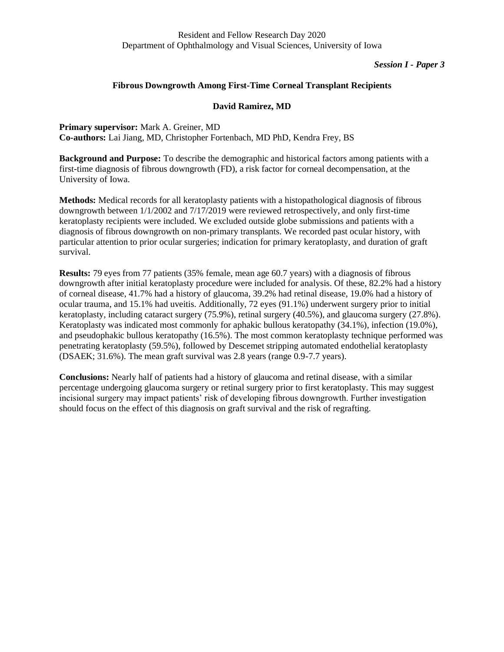*Session I - Paper 3*

## **Fibrous Downgrowth Among First-Time Corneal Transplant Recipients**

## **David Ramirez, MD**

**Primary supervisor:** Mark A. Greiner, MD **Co-authors:** Lai Jiang, MD, Christopher Fortenbach, MD PhD, Kendra Frey, BS

**Background and Purpose:** To describe the demographic and historical factors among patients with a first-time diagnosis of fibrous downgrowth (FD), a risk factor for corneal decompensation, at the University of Iowa.

**Methods:** Medical records for all keratoplasty patients with a histopathological diagnosis of fibrous downgrowth between 1/1/2002 and 7/17/2019 were reviewed retrospectively, and only first-time keratoplasty recipients were included. We excluded outside globe submissions and patients with a diagnosis of fibrous downgrowth on non-primary transplants. We recorded past ocular history, with particular attention to prior ocular surgeries; indication for primary keratoplasty, and duration of graft survival.

**Results:** 79 eyes from 77 patients (35% female, mean age 60.7 years) with a diagnosis of fibrous downgrowth after initial keratoplasty procedure were included for analysis. Of these, 82.2% had a history of corneal disease, 41.7% had a history of glaucoma, 39.2% had retinal disease, 19.0% had a history of ocular trauma, and 15.1% had uveitis. Additionally, 72 eyes (91.1%) underwent surgery prior to initial keratoplasty, including cataract surgery (75.9%), retinal surgery (40.5%), and glaucoma surgery (27.8%). Keratoplasty was indicated most commonly for aphakic bullous keratopathy (34.1%), infection (19.0%), and pseudophakic bullous keratopathy (16.5%). The most common keratoplasty technique performed was penetrating keratoplasty (59.5%), followed by Descemet stripping automated endothelial keratoplasty (DSAEK; 31.6%). The mean graft survival was 2.8 years (range 0.9-7.7 years).

**Conclusions:** Nearly half of patients had a history of glaucoma and retinal disease, with a similar percentage undergoing glaucoma surgery or retinal surgery prior to first keratoplasty. This may suggest incisional surgery may impact patients' risk of developing fibrous downgrowth. Further investigation should focus on the effect of this diagnosis on graft survival and the risk of regrafting.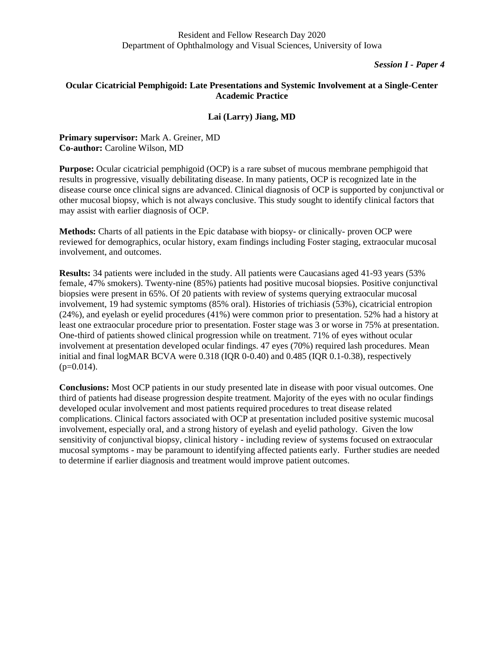# **Ocular Cicatricial Pemphigoid: Late Presentations and Systemic Involvement at a Single-Center Academic Practice**

## **Lai (Larry) Jiang, MD**

**Primary supervisor:** Mark A. Greiner, MD **Co-author:** Caroline Wilson, MD

**Purpose:** Ocular cicatricial pemphigoid (OCP) is a rare subset of mucous membrane pemphigoid that results in progressive, visually debilitating disease. In many patients, OCP is recognized late in the disease course once clinical signs are advanced. Clinical diagnosis of OCP is supported by conjunctival or other mucosal biopsy, which is not always conclusive. This study sought to identify clinical factors that may assist with earlier diagnosis of OCP.

**Methods:** Charts of all patients in the Epic database with biopsy- or clinically- proven OCP were reviewed for demographics, ocular history, exam findings including Foster staging, extraocular mucosal involvement, and outcomes.

**Results:** 34 patients were included in the study. All patients were Caucasians aged 41-93 years (53% female, 47% smokers). Twenty-nine (85%) patients had positive mucosal biopsies. Positive conjunctival biopsies were present in 65%. Of 20 patients with review of systems querying extraocular mucosal involvement, 19 had systemic symptoms (85% oral). Histories of trichiasis (53%), cicatricial entropion (24%), and eyelash or eyelid procedures (41%) were common prior to presentation. 52% had a history at least one extraocular procedure prior to presentation. Foster stage was 3 or worse in 75% at presentation. One-third of patients showed clinical progression while on treatment. 71% of eyes without ocular involvement at presentation developed ocular findings. 47 eyes (70%) required lash procedures. Mean initial and final logMAR BCVA were 0.318 (IQR 0-0.40) and 0.485 (IQR 0.1-0.38), respectively  $(p=0.014)$ .

**Conclusions:** Most OCP patients in our study presented late in disease with poor visual outcomes. One third of patients had disease progression despite treatment. Majority of the eyes with no ocular findings developed ocular involvement and most patients required procedures to treat disease related complications. Clinical factors associated with OCP at presentation included positive systemic mucosal involvement, especially oral, and a strong history of eyelash and eyelid pathology. Given the low sensitivity of conjunctival biopsy, clinical history - including review of systems focused on extraocular mucosal symptoms - may be paramount to identifying affected patients early. Further studies are needed to determine if earlier diagnosis and treatment would improve patient outcomes.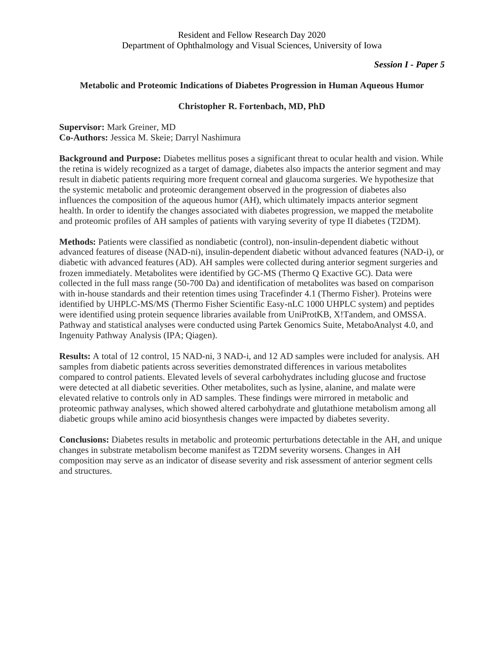## **Metabolic and Proteomic Indications of Diabetes Progression in Human Aqueous Humor**

## **Christopher R. Fortenbach, MD, PhD**

**Supervisor:** Mark Greiner, MD **Co-Authors:** Jessica M. Skeie; Darryl Nashimura

**Background and Purpose:** Diabetes mellitus poses a significant threat to ocular health and vision. While the retina is widely recognized as a target of damage, diabetes also impacts the anterior segment and may result in diabetic patients requiring more frequent corneal and glaucoma surgeries. We hypothesize that the systemic metabolic and proteomic derangement observed in the progression of diabetes also influences the composition of the aqueous humor (AH), which ultimately impacts anterior segment health. In order to identify the changes associated with diabetes progression, we mapped the metabolite and proteomic profiles of AH samples of patients with varying severity of type II diabetes (T2DM).

**Methods:** Patients were classified as nondiabetic (control), non-insulin-dependent diabetic without advanced features of disease (NAD-ni), insulin-dependent diabetic without advanced features (NAD-i), or diabetic with advanced features (AD). AH samples were collected during anterior segment surgeries and frozen immediately. Metabolites were identified by GC-MS (Thermo Q Exactive GC). Data were collected in the full mass range (50-700 Da) and identification of metabolites was based on comparison with in-house standards and their retention times using Tracefinder 4.1 (Thermo Fisher). Proteins were identified by UHPLC-MS/MS (Thermo Fisher Scientific Easy-nLC 1000 UHPLC system) and peptides were identified using protein sequence libraries available from UniProtKB, X!Tandem, and OMSSA. Pathway and statistical analyses were conducted using Partek Genomics Suite, MetaboAnalyst 4.0, and Ingenuity Pathway Analysis (IPA; Qiagen).

**Results:** A total of 12 control, 15 NAD-ni, 3 NAD-i, and 12 AD samples were included for analysis. AH samples from diabetic patients across severities demonstrated differences in various metabolites compared to control patients. Elevated levels of several carbohydrates including glucose and fructose were detected at all diabetic severities. Other metabolites, such as lysine, alanine, and malate were elevated relative to controls only in AD samples. These findings were mirrored in metabolic and proteomic pathway analyses, which showed altered carbohydrate and glutathione metabolism among all diabetic groups while amino acid biosynthesis changes were impacted by diabetes severity.

**Conclusions:** Diabetes results in metabolic and proteomic perturbations detectable in the AH, and unique changes in substrate metabolism become manifest as T2DM severity worsens. Changes in AH composition may serve as an indicator of disease severity and risk assessment of anterior segment cells and structures.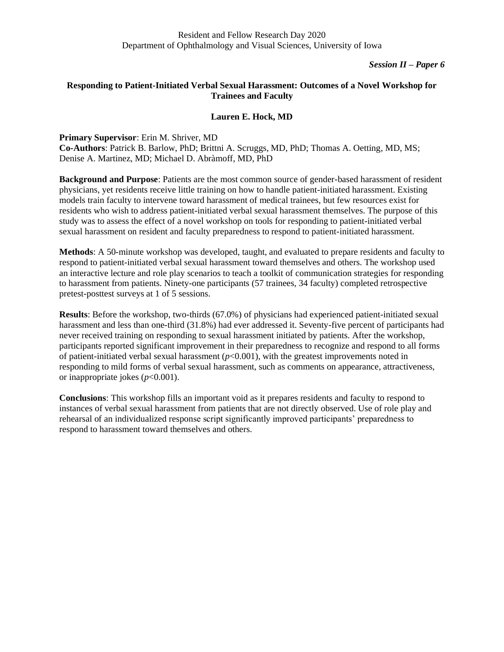# **Responding to Patient-Initiated Verbal Sexual Harassment: Outcomes of a Novel Workshop for Trainees and Faculty**

## **Lauren E. Hock, MD**

#### **Primary Supervisor**: Erin M. Shriver, MD

**Co-Authors**: Patrick B. Barlow, PhD; Brittni A. Scruggs, MD, PhD; Thomas A. Oetting, MD, MS; Denise A. Martinez, MD; Michael D. Abràmoff, MD, PhD

**Background and Purpose**: Patients are the most common source of gender-based harassment of resident physicians, yet residents receive little training on how to handle patient-initiated harassment. Existing models train faculty to intervene toward harassment of medical trainees, but few resources exist for residents who wish to address patient-initiated verbal sexual harassment themselves. The purpose of this study was to assess the effect of a novel workshop on tools for responding to patient-initiated verbal sexual harassment on resident and faculty preparedness to respond to patient-initiated harassment.

**Methods**: A 50-minute workshop was developed, taught, and evaluated to prepare residents and faculty to respond to patient-initiated verbal sexual harassment toward themselves and others. The workshop used an interactive lecture and role play scenarios to teach a toolkit of communication strategies for responding to harassment from patients. Ninety-one participants (57 trainees, 34 faculty) completed retrospective pretest-posttest surveys at 1 of 5 sessions.

**Results**: Before the workshop, two-thirds (67.0%) of physicians had experienced patient-initiated sexual harassment and less than one-third (31.8%) had ever addressed it. Seventy-five percent of participants had never received training on responding to sexual harassment initiated by patients. After the workshop, participants reported significant improvement in their preparedness to recognize and respond to all forms of patient-initiated verbal sexual harassment  $(p<0.001)$ , with the greatest improvements noted in responding to mild forms of verbal sexual harassment, such as comments on appearance, attractiveness, or inappropriate jokes (*p*<0.001).

**Conclusions**: This workshop fills an important void as it prepares residents and faculty to respond to instances of verbal sexual harassment from patients that are not directly observed. Use of role play and rehearsal of an individualized response script significantly improved participants' preparedness to respond to harassment toward themselves and others.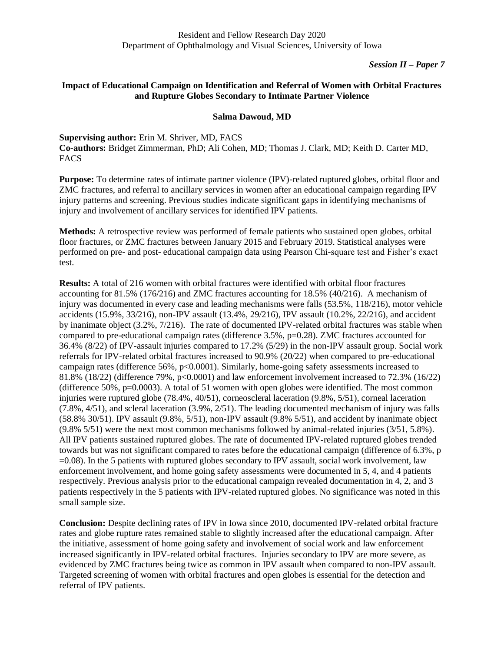# **Impact of Educational Campaign on Identification and Referral of Women with Orbital Fractures and Rupture Globes Secondary to Intimate Partner Violence**

## **Salma Dawoud, MD**

**Supervising author:** Erin M. Shriver, MD, FACS **Co-authors:** Bridget Zimmerman, PhD; Ali Cohen, MD; Thomas J. Clark, MD; Keith D. Carter MD, **FACS** 

**Purpose:** To determine rates of intimate partner violence (IPV)-related ruptured globes, orbital floor and ZMC fractures, and referral to ancillary services in women after an educational campaign regarding IPV injury patterns and screening. Previous studies indicate significant gaps in identifying mechanisms of injury and involvement of ancillary services for identified IPV patients.

**Methods:** A retrospective review was performed of female patients who sustained open globes, orbital floor fractures, or ZMC fractures between January 2015 and February 2019. Statistical analyses were performed on pre- and post- educational campaign data using Pearson Chi-square test and Fisher's exact test.

**Results:** A total of 216 women with orbital fractures were identified with orbital floor fractures accounting for 81.5% (176/216) and ZMC fractures accounting for 18.5% (40/216). A mechanism of injury was documented in every case and leading mechanisms were falls (53.5%, 118/216), motor vehicle accidents (15.9%, 33/216), non-IPV assault (13.4%, 29/216), IPV assault (10.2%, 22/216), and accident by inanimate object (3.2%, 7/216). The rate of documented IPV-related orbital fractures was stable when compared to pre-educational campaign rates (difference 3.5%, p=0.28). ZMC fractures accounted for 36.4% (8/22) of IPV-assault injuries compared to 17.2% (5/29) in the non-IPV assault group. Social work referrals for IPV-related orbital fractures increased to 90.9% (20/22) when compared to pre-educational campaign rates (difference 56%, p<0.0001). Similarly, home-going safety assessments increased to 81.8% (18/22) (difference 79%, p<0.0001) and law enforcement involvement increased to 72.3% (16/22) (difference 50%, p=0.0003). A total of 51 women with open globes were identified. The most common injuries were ruptured globe (78.4%, 40/51), corneoscleral laceration (9.8%, 5/51), corneal laceration (7.8%, 4/51), and scleral laceration (3.9%, 2/51). The leading documented mechanism of injury was falls (58.8% 30/51). IPV assault (9.8%, 5/51), non-IPV assault (9.8% 5/51), and accident by inanimate object (9.8% 5/51) were the next most common mechanisms followed by animal-related injuries (3/51, 5.8%). All IPV patients sustained ruptured globes. The rate of documented IPV-related ruptured globes trended towards but was not significant compared to rates before the educational campaign (difference of 6.3%, p =0.08). In the 5 patients with ruptured globes secondary to IPV assault, social work involvement, law enforcement involvement, and home going safety assessments were documented in 5, 4, and 4 patients respectively. Previous analysis prior to the educational campaign revealed documentation in 4, 2, and 3 patients respectively in the 5 patients with IPV-related ruptured globes. No significance was noted in this small sample size.

**Conclusion:** Despite declining rates of IPV in Iowa since 2010, documented IPV-related orbital fracture rates and globe rupture rates remained stable to slightly increased after the educational campaign. After the initiative, assessment of home going safety and involvement of social work and law enforcement increased significantly in IPV-related orbital fractures. Injuries secondary to IPV are more severe, as evidenced by ZMC fractures being twice as common in IPV assault when compared to non-IPV assault. Targeted screening of women with orbital fractures and open globes is essential for the detection and referral of IPV patients.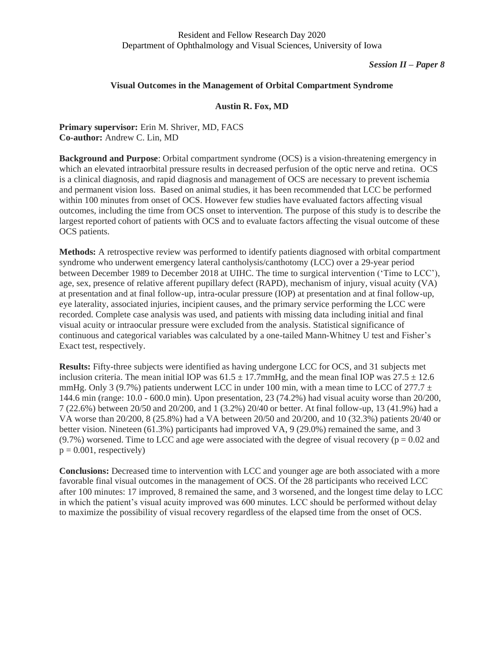#### *Session II – Paper 8*

#### **Visual Outcomes in the Management of Orbital Compartment Syndrome**

#### **Austin R. Fox, MD**

**Primary supervisor:** Erin M. Shriver, MD, FACS **Co-author:** Andrew C. Lin, MD

**Background and Purpose**: Orbital compartment syndrome (OCS) is a vision-threatening emergency in which an elevated intraorbital pressure results in decreased perfusion of the optic nerve and retina. OCS is a clinical diagnosis, and rapid diagnosis and management of OCS are necessary to prevent ischemia and permanent vision loss. Based on animal studies, it has been recommended that LCC be performed within 100 minutes from onset of OCS. However few studies have evaluated factors affecting visual outcomes, including the time from OCS onset to intervention. The purpose of this study is to describe the largest reported cohort of patients with OCS and to evaluate factors affecting the visual outcome of these OCS patients.

**Methods:** A retrospective review was performed to identify patients diagnosed with orbital compartment syndrome who underwent emergency lateral cantholysis/canthotomy (LCC) over a 29-year period between December 1989 to December 2018 at UIHC. The time to surgical intervention ('Time to LCC'), age, sex, presence of relative afferent pupillary defect (RAPD), mechanism of injury, visual acuity (VA) at presentation and at final follow-up, intra-ocular pressure (IOP) at presentation and at final follow-up, eye laterality, associated injuries, incipient causes, and the primary service performing the LCC were recorded. Complete case analysis was used, and patients with missing data including initial and final visual acuity or intraocular pressure were excluded from the analysis. Statistical significance of continuous and categorical variables was calculated by a one-tailed Mann-Whitney U test and Fisher's Exact test, respectively.

**Results:** Fifty-three subjects were identified as having undergone LCC for OCS, and 31 subjects met inclusion criteria. The mean initial IOP was  $61.5 \pm 17.7$ mmHg, and the mean final IOP was  $27.5 \pm 12.6$ mmHg. Only 3 (9.7%) patients underwent LCC in under 100 min, with a mean time to LCC of 277.7  $\pm$ 144.6 min (range: 10.0 - 600.0 min). Upon presentation, 23 (74.2%) had visual acuity worse than 20/200, 7 (22.6%) between 20/50 and 20/200, and 1 (3.2%) 20/40 or better. At final follow-up, 13 (41.9%) had a VA worse than 20/200, 8 (25.8%) had a VA between 20/50 and 20/200, and 10 (32.3%) patients 20/40 or better vision. Nineteen (61.3%) participants had improved VA, 9 (29.0%) remained the same, and 3  $(9.7\%)$  worsened. Time to LCC and age were associated with the degree of visual recovery ( $p = 0.02$  and  $p = 0.001$ , respectively)

**Conclusions:** Decreased time to intervention with LCC and younger age are both associated with a more favorable final visual outcomes in the management of OCS. Of the 28 participants who received LCC after 100 minutes: 17 improved, 8 remained the same, and 3 worsened, and the longest time delay to LCC in which the patient's visual acuity improved was 600 minutes. LCC should be performed without delay to maximize the possibility of visual recovery regardless of the elapsed time from the onset of OCS.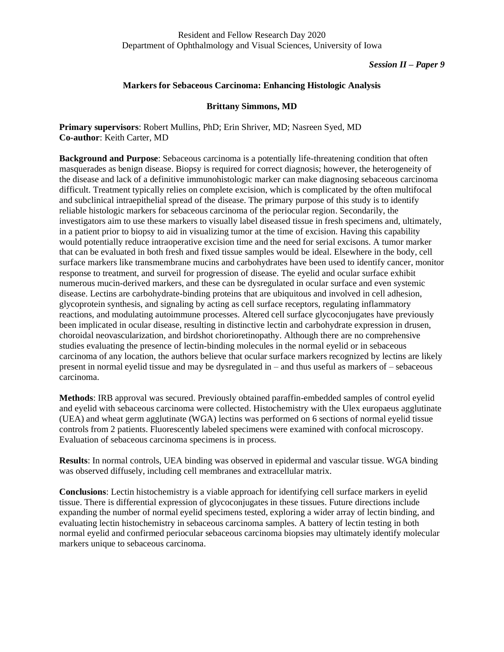#### *Session II – Paper 9*

## **Markers for Sebaceous Carcinoma: Enhancing Histologic Analysis**

#### **Brittany Simmons, MD**

**Primary supervisors**: Robert Mullins, PhD; Erin Shriver, MD; Nasreen Syed, MD **Co-author**: Keith Carter, MD

**Background and Purpose**: Sebaceous carcinoma is a potentially life-threatening condition that often masquerades as benign disease. Biopsy is required for correct diagnosis; however, the heterogeneity of the disease and lack of a definitive immunohistologic marker can make diagnosing sebaceous carcinoma difficult. Treatment typically relies on complete excision, which is complicated by the often multifocal and subclinical intraepithelial spread of the disease. The primary purpose of this study is to identify reliable histologic markers for sebaceous carcinoma of the periocular region. Secondarily, the investigators aim to use these markers to visually label diseased tissue in fresh specimens and, ultimately, in a patient prior to biopsy to aid in visualizing tumor at the time of excision. Having this capability would potentially reduce intraoperative excision time and the need for serial excisons. A tumor marker that can be evaluated in both fresh and fixed tissue samples would be ideal. Elsewhere in the body, cell surface markers like transmembrane mucins and carbohydrates have been used to identify cancer, monitor response to treatment, and surveil for progression of disease. The eyelid and ocular surface exhibit numerous mucin-derived markers, and these can be dysregulated in ocular surface and even systemic disease. Lectins are carbohydrate-binding proteins that are ubiquitous and involved in cell adhesion, glycoprotein synthesis, and signaling by acting as cell surface receptors, regulating inflammatory reactions, and modulating autoimmune processes. Altered cell surface glycoconjugates have previously been implicated in ocular disease, resulting in distinctive lectin and carbohydrate expression in drusen, choroidal neovascularization, and birdshot chorioretinopathy. Although there are no comprehensive studies evaluating the presence of lectin-binding molecules in the normal eyelid or in sebaceous carcinoma of any location, the authors believe that ocular surface markers recognized by lectins are likely present in normal eyelid tissue and may be dysregulated in – and thus useful as markers of – sebaceous carcinoma.

**Methods**: IRB approval was secured. Previously obtained paraffin-embedded samples of control eyelid and eyelid with sebaceous carcinoma were collected. Histochemistry with the Ulex europaeus agglutinate (UEA) and wheat germ agglutinate (WGA) lectins was performed on 6 sections of normal eyelid tissue controls from 2 patients. Fluorescently labeled specimens were examined with confocal microscopy. Evaluation of sebaceous carcinoma specimens is in process.

**Results**: In normal controls, UEA binding was observed in epidermal and vascular tissue. WGA binding was observed diffusely, including cell membranes and extracellular matrix.

**Conclusions**: Lectin histochemistry is a viable approach for identifying cell surface markers in eyelid tissue. There is differential expression of glycoconjugates in these tissues. Future directions include expanding the number of normal eyelid specimens tested, exploring a wider array of lectin binding, and evaluating lectin histochemistry in sebaceous carcinoma samples. A battery of lectin testing in both normal eyelid and confirmed periocular sebaceous carcinoma biopsies may ultimately identify molecular markers unique to sebaceous carcinoma.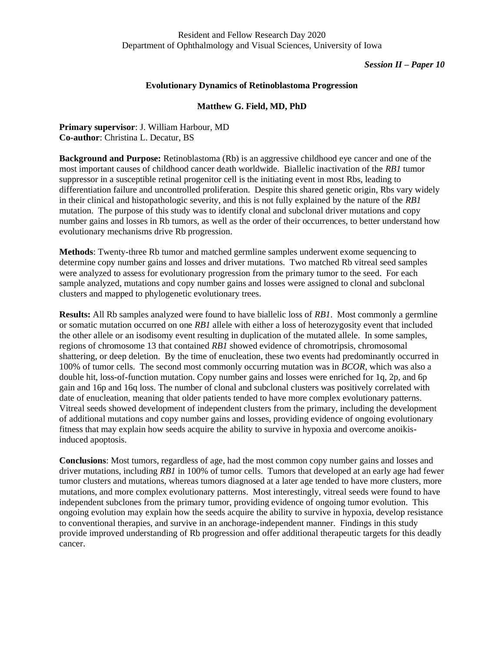### **Evolutionary Dynamics of Retinoblastoma Progression**

## **Matthew G. Field, MD, PhD**

**Primary supervisor**: J. William Harbour, MD **Co-author**: Christina L. Decatur, BS

**Background and Purpose:** Retinoblastoma (Rb) is an aggressive childhood eye cancer and one of the most important causes of childhood cancer death worldwide. Biallelic inactivation of the *RB1* tumor suppressor in a susceptible retinal progenitor cell is the initiating event in most Rbs, leading to differentiation failure and uncontrolled proliferation. Despite this shared genetic origin, Rbs vary widely in their clinical and histopathologic severity, and this is not fully explained by the nature of the *RB1* mutation. The purpose of this study was to identify clonal and subclonal driver mutations and copy number gains and losses in Rb tumors, as well as the order of their occurrences, to better understand how evolutionary mechanisms drive Rb progression.

**Methods**: Twenty-three Rb tumor and matched germline samples underwent exome sequencing to determine copy number gains and losses and driver mutations. Two matched Rb vitreal seed samples were analyzed to assess for evolutionary progression from the primary tumor to the seed. For each sample analyzed, mutations and copy number gains and losses were assigned to clonal and subclonal clusters and mapped to phylogenetic evolutionary trees.

**Results:** All Rb samples analyzed were found to have biallelic loss of *RB1*. Most commonly a germline or somatic mutation occurred on one *RB1* allele with either a loss of heterozygosity event that included the other allele or an isodisomy event resulting in duplication of the mutated allele. In some samples, regions of chromosome 13 that contained *RB1* showed evidence of chromotripsis, chromosomal shattering, or deep deletion. By the time of enucleation, these two events had predominantly occurred in 100% of tumor cells. The second most commonly occurring mutation was in *BCOR*, which was also a double hit, loss-of-function mutation. Copy number gains and losses were enriched for 1q, 2p, and 6p gain and 16p and 16q loss. The number of clonal and subclonal clusters was positively correlated with date of enucleation, meaning that older patients tended to have more complex evolutionary patterns. Vitreal seeds showed development of independent clusters from the primary, including the development of additional mutations and copy number gains and losses, providing evidence of ongoing evolutionary fitness that may explain how seeds acquire the ability to survive in hypoxia and overcome anoikisinduced apoptosis.

**Conclusions**: Most tumors, regardless of age, had the most common copy number gains and losses and driver mutations, including *RB1* in 100% of tumor cells. Tumors that developed at an early age had fewer tumor clusters and mutations, whereas tumors diagnosed at a later age tended to have more clusters, more mutations, and more complex evolutionary patterns. Most interestingly, vitreal seeds were found to have independent subclones from the primary tumor, providing evidence of ongoing tumor evolution. This ongoing evolution may explain how the seeds acquire the ability to survive in hypoxia, develop resistance to conventional therapies, and survive in an anchorage-independent manner. Findings in this study provide improved understanding of Rb progression and offer additional therapeutic targets for this deadly cancer.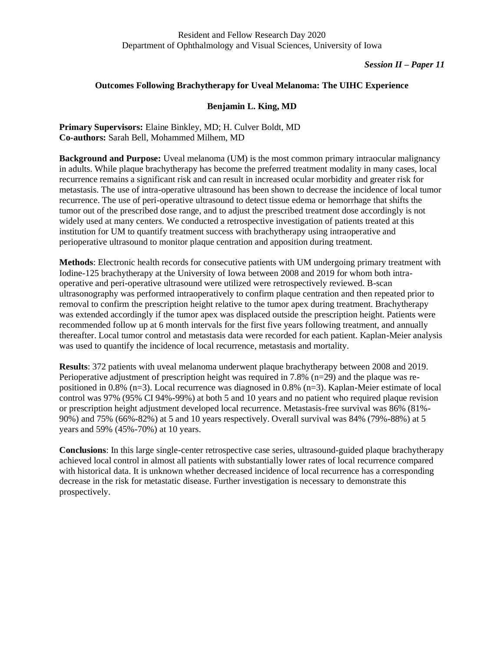## **Outcomes Following Brachytherapy for Uveal Melanoma: The UIHC Experience**

## **Benjamin L. King, MD**

**Primary Supervisors:** Elaine Binkley, MD; H. Culver Boldt, MD **Co-authors:** Sarah Bell, Mohammed Milhem, MD

**Background and Purpose:** Uveal melanoma (UM) is the most common primary intraocular malignancy in adults. While plaque brachytherapy has become the preferred treatment modality in many cases, local recurrence remains a significant risk and can result in increased ocular morbidity and greater risk for metastasis. The use of intra-operative ultrasound has been shown to decrease the incidence of local tumor recurrence. The use of peri-operative ultrasound to detect tissue edema or hemorrhage that shifts the tumor out of the prescribed dose range, and to adjust the prescribed treatment dose accordingly is not widely used at many centers. We conducted a retrospective investigation of patients treated at this institution for UM to quantify treatment success with brachytherapy using intraoperative and perioperative ultrasound to monitor plaque centration and apposition during treatment.

**Methods**: Electronic health records for consecutive patients with UM undergoing primary treatment with Iodine-125 brachytherapy at the University of Iowa between 2008 and 2019 for whom both intraoperative and peri-operative ultrasound were utilized were retrospectively reviewed. B-scan ultrasonography was performed intraoperatively to confirm plaque centration and then repeated prior to removal to confirm the prescription height relative to the tumor apex during treatment. Brachytherapy was extended accordingly if the tumor apex was displaced outside the prescription height. Patients were recommended follow up at 6 month intervals for the first five years following treatment, and annually thereafter. Local tumor control and metastasis data were recorded for each patient. Kaplan-Meier analysis was used to quantify the incidence of local recurrence, metastasis and mortality.

**Results**: 372 patients with uveal melanoma underwent plaque brachytherapy between 2008 and 2019. Perioperative adjustment of prescription height was required in 7.8% (n=29) and the plaque was repositioned in 0.8% (n=3). Local recurrence was diagnosed in 0.8% (n=3). Kaplan-Meier estimate of local control was 97% (95% CI 94%-99%) at both 5 and 10 years and no patient who required plaque revision or prescription height adjustment developed local recurrence. Metastasis-free survival was 86% (81%- 90%) and 75% (66%-82%) at 5 and 10 years respectively. Overall survival was 84% (79%-88%) at 5 years and 59% (45%-70%) at 10 years.

**Conclusions**: In this large single-center retrospective case series, ultrasound-guided plaque brachytherapy achieved local control in almost all patients with substantially lower rates of local recurrence compared with historical data. It is unknown whether decreased incidence of local recurrence has a corresponding decrease in the risk for metastatic disease. Further investigation is necessary to demonstrate this prospectively.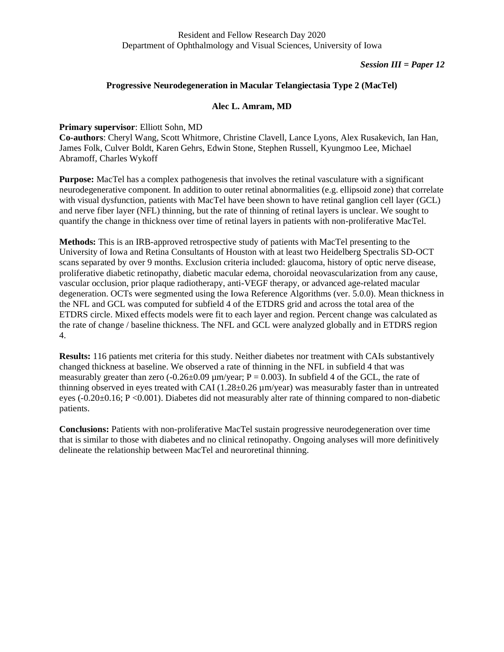### *Session III = Paper 12*

### **Progressive Neurodegeneration in Macular Telangiectasia Type 2 (MacTel)**

## **Alec L. Amram, MD**

### **Primary supervisor**: Elliott Sohn, MD

**Co-authors**: Cheryl Wang, Scott Whitmore, Christine Clavell, Lance Lyons, Alex Rusakevich, Ian Han, James Folk, Culver Boldt, Karen Gehrs, Edwin Stone, Stephen Russell, Kyungmoo Lee, Michael Abramoff, Charles Wykoff

**Purpose:** MacTel has a complex pathogenesis that involves the retinal vasculature with a significant neurodegenerative component. In addition to outer retinal abnormalities (e.g. ellipsoid zone) that correlate with visual dysfunction, patients with MacTel have been shown to have retinal ganglion cell layer (GCL) and nerve fiber layer (NFL) thinning, but the rate of thinning of retinal layers is unclear. We sought to quantify the change in thickness over time of retinal layers in patients with non-proliferative MacTel.

**Methods:** This is an IRB-approved retrospective study of patients with MacTel presenting to the University of Iowa and Retina Consultants of Houston with at least two Heidelberg Spectralis SD-OCT scans separated by over 9 months. Exclusion criteria included: glaucoma, history of optic nerve disease, proliferative diabetic retinopathy, diabetic macular edema, choroidal neovascularization from any cause, vascular occlusion, prior plaque radiotherapy, anti-VEGF therapy, or advanced age-related macular degeneration. OCTs were segmented using the Iowa Reference Algorithms (ver. 5.0.0). Mean thickness in the NFL and GCL was computed for subfield 4 of the ETDRS grid and across the total area of the ETDRS circle. Mixed effects models were fit to each layer and region. Percent change was calculated as the rate of change / baseline thickness. The NFL and GCL were analyzed globally and in ETDRS region 4.

**Results:** 116 patients met criteria for this study. Neither diabetes nor treatment with CAIs substantively changed thickness at baseline. We observed a rate of thinning in the NFL in subfield 4 that was measurably greater than zero (-0.26±0.09  $\mu$ m/year; P = 0.003). In subfield 4 of the GCL, the rate of thinning observed in eyes treated with CAI (1.28±0.26 µm/year) was measurably faster than in untreated eyes (-0.20±0.16; P <0.001). Diabetes did not measurably alter rate of thinning compared to non-diabetic patients.

**Conclusions:** Patients with non-proliferative MacTel sustain progressive neurodegeneration over time that is similar to those with diabetes and no clinical retinopathy. Ongoing analyses will more definitively delineate the relationship between MacTel and neuroretinal thinning.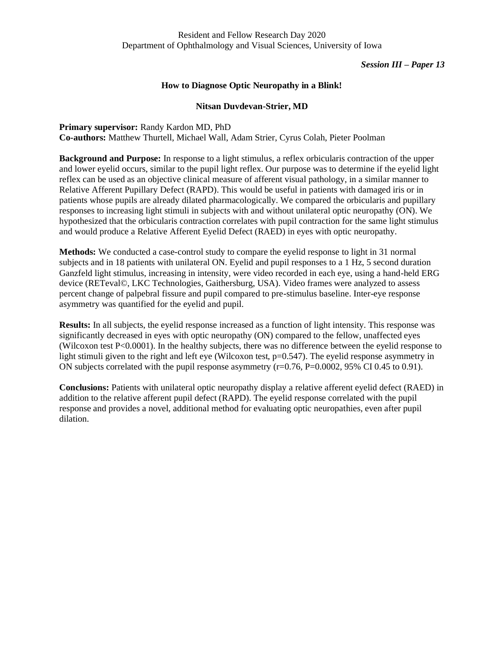## **How to Diagnose Optic Neuropathy in a Blink!**

## **Nitsan Duvdevan-Strier, MD**

**Primary supervisor:** Randy Kardon MD, PhD **Co-authors:** Matthew Thurtell, Michael Wall, Adam Strier, Cyrus Colah, Pieter Poolman

**Background and Purpose:** In response to a light stimulus, a reflex orbicularis contraction of the upper and lower eyelid occurs, similar to the pupil light reflex. Our purpose was to determine if the eyelid light reflex can be used as an objective clinical measure of afferent visual pathology, in a similar manner to Relative Afferent Pupillary Defect (RAPD). This would be useful in patients with damaged iris or in patients whose pupils are already dilated pharmacologically. We compared the orbicularis and pupillary responses to increasing light stimuli in subjects with and without unilateral optic neuropathy (ON). We hypothesized that the orbicularis contraction correlates with pupil contraction for the same light stimulus and would produce a Relative Afferent Eyelid Defect (RAED) in eyes with optic neuropathy.

**Methods:** We conducted a case-control study to compare the eyelid response to light in 31 normal subjects and in 18 patients with unilateral ON. Eyelid and pupil responses to a 1 Hz, 5 second duration Ganzfeld light stimulus, increasing in intensity, were video recorded in each eye, using a hand-held ERG device (RETeval©, LKC Technologies, Gaithersburg, USA). Video frames were analyzed to assess percent change of palpebral fissure and pupil compared to pre-stimulus baseline. Inter-eye response asymmetry was quantified for the eyelid and pupil.

**Results:** In all subjects, the eyelid response increased as a function of light intensity. This response was significantly decreased in eyes with optic neuropathy (ON) compared to the fellow, unaffected eyes (Wilcoxon test P<0.0001). In the healthy subjects, there was no difference between the eyelid response to light stimuli given to the right and left eye (Wilcoxon test,  $p=0.547$ ). The eyelid response asymmetry in ON subjects correlated with the pupil response asymmetry (r=0.76, P=0.0002, 95% CI 0.45 to 0.91).

**Conclusions:** Patients with unilateral optic neuropathy display a relative afferent eyelid defect (RAED) in addition to the relative afferent pupil defect (RAPD). The eyelid response correlated with the pupil response and provides a novel, additional method for evaluating optic neuropathies, even after pupil dilation.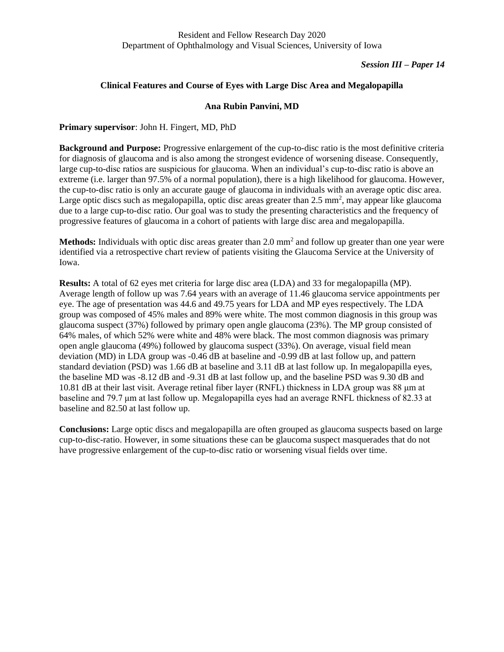# **Clinical Features and Course of Eyes with Large Disc Area and Megalopapilla**

## **Ana Rubin Panvini, MD**

**Primary supervisor**: John H. Fingert, MD, PhD

**Background and Purpose:** Progressive enlargement of the cup-to-disc ratio is the most definitive criteria for diagnosis of glaucoma and is also among the strongest evidence of worsening disease. Consequently, large cup-to-disc ratios are suspicious for glaucoma. When an individual's cup-to-disc ratio is above an extreme (i.e. larger than 97.5% of a normal population), there is a high likelihood for glaucoma. However, the cup-to-disc ratio is only an accurate gauge of glaucoma in individuals with an average optic disc area. Large optic discs such as megalopapilla, optic disc areas greater than  $2.5 \text{ mm}^2$ , may appear like glaucoma due to a large cup-to-disc ratio. Our goal was to study the presenting characteristics and the frequency of progressive features of glaucoma in a cohort of patients with large disc area and megalopapilla.

Methods: Individuals with optic disc areas greater than 2.0 mm<sup>2</sup> and follow up greater than one year were identified via a retrospective chart review of patients visiting the Glaucoma Service at the University of Iowa.

**Results:** A total of 62 eyes met criteria for large disc area (LDA) and 33 for megalopapilla (MP). Average length of follow up was 7.64 years with an average of 11.46 glaucoma service appointments per eye. The age of presentation was 44.6 and 49.75 years for LDA and MP eyes respectively. The LDA group was composed of 45% males and 89% were white. The most common diagnosis in this group was glaucoma suspect (37%) followed by primary open angle glaucoma (23%). The MP group consisted of 64% males, of which 52% were white and 48% were black. The most common diagnosis was primary open angle glaucoma (49%) followed by glaucoma suspect (33%). On average, visual field mean deviation (MD) in LDA group was -0.46 dB at baseline and -0.99 dB at last follow up, and pattern standard deviation (PSD) was 1.66 dB at baseline and 3.11 dB at last follow up. In megalopapilla eyes, the baseline MD was -8.12 dB and -9.31 dB at last follow up, and the baseline PSD was 9.30 dB and 10.81 dB at their last visit. Average retinal fiber layer (RNFL) thickness in LDA group was 88 μm at baseline and 79.7 μm at last follow up. Megalopapilla eyes had an average RNFL thickness of 82.33 at baseline and 82.50 at last follow up.

**Conclusions:** Large optic discs and megalopapilla are often grouped as glaucoma suspects based on large cup-to-disc-ratio. However, in some situations these can be glaucoma suspect masquerades that do not have progressive enlargement of the cup-to-disc ratio or worsening visual fields over time.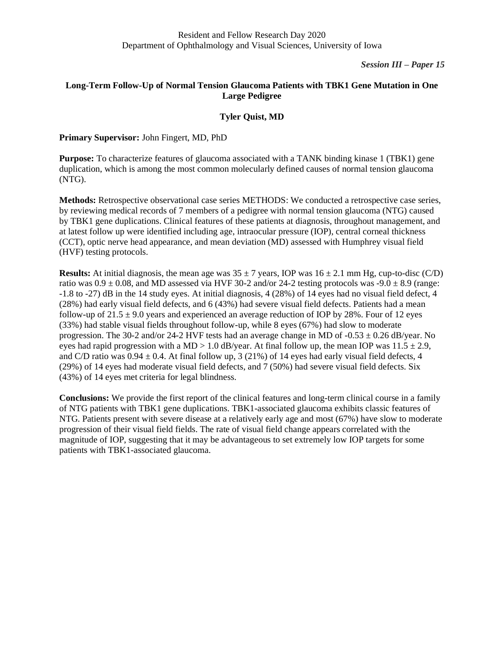# **Long-Term Follow-Up of Normal Tension Glaucoma Patients with TBK1 Gene Mutation in One Large Pedigree**

# **Tyler Quist, MD**

# **Primary Supervisor:** John Fingert, MD, PhD

**Purpose:** To characterize features of glaucoma associated with a TANK binding kinase 1 (TBK1) gene duplication, which is among the most common molecularly defined causes of normal tension glaucoma (NTG).

**Methods:** Retrospective observational case series METHODS: We conducted a retrospective case series, by reviewing medical records of 7 members of a pedigree with normal tension glaucoma (NTG) caused by TBK1 gene duplications. Clinical features of these patients at diagnosis, throughout management, and at latest follow up were identified including age, intraocular pressure (IOP), central corneal thickness (CCT), optic nerve head appearance, and mean deviation (MD) assessed with Humphrey visual field (HVF) testing protocols.

**Results:** At initial diagnosis, the mean age was  $35 \pm 7$  years, IOP was  $16 \pm 2.1$  mm Hg, cup-to-disc (C/D) ratio was  $0.9 \pm 0.08$ , and MD assessed via HVF 30-2 and/or 24-2 testing protocols was -9.0  $\pm$  8.9 (range: -1.8 to -27) dB in the 14 study eyes. At initial diagnosis, 4 (28%) of 14 eyes had no visual field defect, 4 (28%) had early visual field defects, and 6 (43%) had severe visual field defects. Patients had a mean follow-up of  $21.5 \pm 9.0$  years and experienced an average reduction of IOP by 28%. Four of 12 eyes (33%) had stable visual fields throughout follow-up, while 8 eyes (67%) had slow to moderate progression. The 30-2 and/or 24-2 HVF tests had an average change in MD of  $-0.53 \pm 0.26$  dB/year. No eyes had rapid progression with a MD  $> 1.0$  dB/year. At final follow up, the mean IOP was  $11.5 \pm 2.9$ , and C/D ratio was  $0.94 \pm 0.4$ . At final follow up, 3 (21%) of 14 eyes had early visual field defects, 4 (29%) of 14 eyes had moderate visual field defects, and 7 (50%) had severe visual field defects. Six (43%) of 14 eyes met criteria for legal blindness.

**Conclusions:** We provide the first report of the clinical features and long-term clinical course in a family of NTG patients with TBK1 gene duplications. TBK1-associated glaucoma exhibits classic features of NTG. Patients present with severe disease at a relatively early age and most (67%) have slow to moderate progression of their visual field fields. The rate of visual field change appears correlated with the magnitude of IOP, suggesting that it may be advantageous to set extremely low IOP targets for some patients with TBK1-associated glaucoma.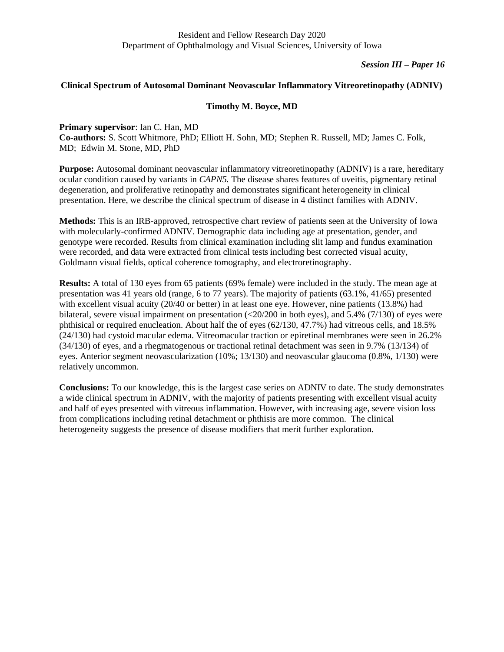# *Session III – Paper 16*

### **Clinical Spectrum of Autosomal Dominant Neovascular Inflammatory Vitreoretinopathy (ADNIV)**

# **Timothy M. Boyce, MD**

**Primary supervisor**: Ian C. Han, MD

**Co-authors:** S. Scott Whitmore, PhD; Elliott H. Sohn, MD; Stephen R. Russell, MD; James C. Folk, MD; Edwin M. Stone, MD, PhD

**Purpose:** Autosomal dominant neovascular inflammatory vitreoretinopathy (ADNIV) is a rare, hereditary ocular condition caused by variants in *CAPN5.* The disease shares features of uveitis, pigmentary retinal degeneration, and proliferative retinopathy and demonstrates significant heterogeneity in clinical presentation. Here, we describe the clinical spectrum of disease in 4 distinct families with ADNIV.

**Methods:** This is an IRB-approved, retrospective chart review of patients seen at the University of Iowa with molecularly-confirmed ADNIV. Demographic data including age at presentation, gender, and genotype were recorded. Results from clinical examination including slit lamp and fundus examination were recorded, and data were extracted from clinical tests including best corrected visual acuity, Goldmann visual fields, optical coherence tomography, and electroretinography.

**Results:** A total of 130 eyes from 65 patients (69% female) were included in the study. The mean age at presentation was 41 years old (range, 6 to 77 years). The majority of patients (63.1%, 41/65) presented with excellent visual acuity (20/40 or better) in at least one eye. However, nine patients (13.8%) had bilateral, severe visual impairment on presentation (<20/200 in both eyes), and 5.4% (7/130) of eyes were phthisical or required enucleation. About half the of eyes (62/130, 47.7%) had vitreous cells, and 18.5% (24/130) had cystoid macular edema. Vitreomacular traction or epiretinal membranes were seen in 26.2% (34/130) of eyes, and a rhegmatogenous or tractional retinal detachment was seen in 9.7% (13/134) of eyes. Anterior segment neovascularization (10%; 13/130) and neovascular glaucoma (0.8%, 1/130) were relatively uncommon.

**Conclusions:** To our knowledge, this is the largest case series on ADNIV to date. The study demonstrates a wide clinical spectrum in ADNIV, with the majority of patients presenting with excellent visual acuity and half of eyes presented with vitreous inflammation. However, with increasing age, severe vision loss from complications including retinal detachment or phthisis are more common. The clinical heterogeneity suggests the presence of disease modifiers that merit further exploration.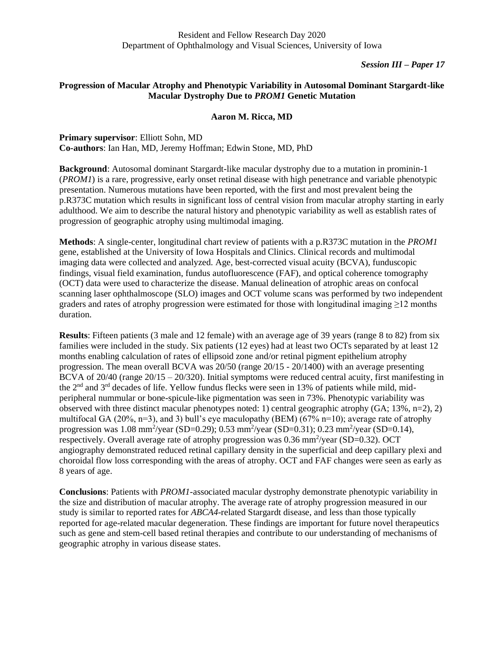# **Progression of Macular Atrophy and Phenotypic Variability in Autosomal Dominant Stargardt-like Macular Dystrophy Due to** *PROM1* **Genetic Mutation**

## **Aaron M. Ricca, MD**

**Primary supervisor**: Elliott Sohn, MD **Co-authors**: Ian Han, MD, Jeremy Hoffman; Edwin Stone, MD, PhD

**Background**: Autosomal dominant Stargardt-like macular dystrophy due to a mutation in prominin-1 (*PROM1*) is a rare, progressive, early onset retinal disease with high penetrance and variable phenotypic presentation. Numerous mutations have been reported, with the first and most prevalent being the p.R373C mutation which results in significant loss of central vision from macular atrophy starting in early adulthood. We aim to describe the natural history and phenotypic variability as well as establish rates of progression of geographic atrophy using multimodal imaging.

**Methods**: A single-center, longitudinal chart review of patients with a p.R373C mutation in the *PROM1* gene, established at the University of Iowa Hospitals and Clinics. Clinical records and multimodal imaging data were collected and analyzed. Age, best-corrected visual acuity (BCVA), funduscopic findings, visual field examination, fundus autofluorescence (FAF), and optical coherence tomography (OCT) data were used to characterize the disease. Manual delineation of atrophic areas on confocal scanning laser ophthalmoscope (SLO) images and OCT volume scans was performed by two independent graders and rates of atrophy progression were estimated for those with longitudinal imaging ≥12 months duration.

**Results**: Fifteen patients (3 male and 12 female) with an average age of 39 years (range 8 to 82) from six families were included in the study. Six patients (12 eyes) had at least two OCTs separated by at least 12 months enabling calculation of rates of ellipsoid zone and/or retinal pigment epithelium atrophy progression. The mean overall BCVA was 20/50 (range 20/15 - 20/1400) with an average presenting BCVA of 20/40 (range 20/15 – 20/320). Initial symptoms were reduced central acuity, first manifesting in the 2<sup>nd</sup> and 3<sup>rd</sup> decades of life. Yellow fundus flecks were seen in 13% of patients while mild, midperipheral nummular or bone-spicule-like pigmentation was seen in 73%. Phenotypic variability was observed with three distinct macular phenotypes noted: 1) central geographic atrophy (GA; 13%, n=2), 2) multifocal GA (20%, n=3), and 3) bull's eye maculopathy (BEM) (67% n=10); average rate of atrophy progression was 1.08 mm<sup>2</sup>/year (SD=0.29); 0.53 mm<sup>2</sup>/year (SD=0.31); 0.23 mm<sup>2</sup>/year (SD=0.14), respectively. Overall average rate of atrophy progression was  $0.36 \text{ mm}^2/\text{year}$  (SD=0.32). OCT angiography demonstrated reduced retinal capillary density in the superficial and deep capillary plexi and choroidal flow loss corresponding with the areas of atrophy. OCT and FAF changes were seen as early as 8 years of age.

**Conclusions**: Patients with *PROM1*-associated macular dystrophy demonstrate phenotypic variability in the size and distribution of macular atrophy. The average rate of atrophy progression measured in our study is similar to reported rates for *ABCA4*-related Stargardt disease, and less than those typically reported for age-related macular degeneration. These findings are important for future novel therapeutics such as gene and stem-cell based retinal therapies and contribute to our understanding of mechanisms of geographic atrophy in various disease states.